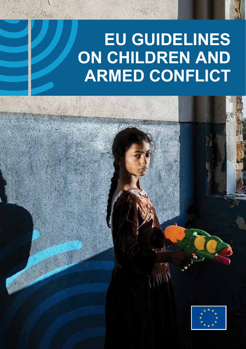# **EU GUIDELINES ON CHILDREN AND ARMED CONFLICT**

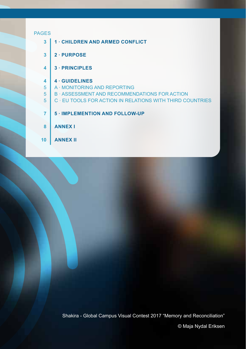#### PAGES

- **1 · CHILDREN AND ARMED CONFLICT 3**
- **2 · PURPOSE 3**
- **3 · PRINCIPLES 4**

#### **4 · GUIDELINES 4**

- A · MONITORING AND REPORTING 5
- B · ASSESSMENT AND RECOMMENDATIONS FOR ACTION 5
- C · EU TOOLS FOR ACTION IN RELATIONS WITH THIRD COUNTRIES 5
- **5 · IMPLEMENTION AND FOLLOW-UP 7**
- **ANNEX I 8**
- **ANNEX II 10**

Shakira - Global Campus Visual Contest 2017 "Memory and Reconciliation"

© Maja Nydal Eriksen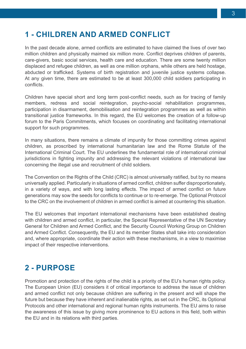## **1 - CHILDREN AND ARMED CONFLICT**

In the past decade alone, armed conflicts are estimated to have claimed the lives of over two million children and physically maimed six million more. Conflict deprives children of parents, care-givers, basic social services, health care and education. There are some twenty million displaced and refugee children, as well as one million orphans, while others are held hostage abducted or trafficked. Systems of birth registration and juvenile justice systems collapse. At any given time, there are estimated to be at least 300,000 child soldiers participating in conflicts.

Children have special short and long term post-conflict needs, such as for tracing of family members, redress and social reintegration, psycho-social rehabilitation programmes, participation in disarmament, demobilisation and reintegration programmes as well as within transitional justice frameworks. In this regard, the EU welcomes the creation of a follow-up forum to the Paris Commitments, which focuses on coordinating and facilitating international support for such programmes.

In many situations, there remains a climate of impunity for those committing crimes against children, as proscribed by international humanitarian law and the Rome Statute of the International Criminal Court. The EU underlines the fundamental role of international criminal jurisdictions in fighting impunity and addressing the relevant violations of international law concerning the illegal use and recruitment of child soldiers.

The Convention on the Rights of the Child (CRC) is almost universally ratified, but by no means universally applied. Particularly in situations of armed conflict, children suffer disproportionately, in a variety of ways, and with long lasting effects. The impact of armed conflict on future generations may sow the seeds for conflicts to continue or to re-emerge. The Optional Protocol to the CRC on the involvement of children in armed conflict is aimed at countering this situation.

The EU welcomes that important international mechanisms have been established dealing with children and armed conflict, in particular, the Special Representative of the UN Secretary General for Children and Armed Conflict, and the Security Council Working Group on Children and Armed Conflict. Consequently, the EU and its member States shall take into consideration and, where appropriate, coordinate their action with these mechanisms, in a view to maximise impact of their respective interventions.

## **2 - PURPOSE**

Promotion and protection of the rights of the child is a priority of the EU's human rights policy. The European Union (EU) considers it of critical importance to address the issue of children and armed conflict not only because children are suffering in the present and will shape the future but because they have inherent and inalienable rights, as set out in the CRC, its Optional Protocols and other international and regional human rights instruments. The EU aims to raise the awareness of this issue by giving more prominence to EU actions in this field, both within the EU and in its relations with third parties.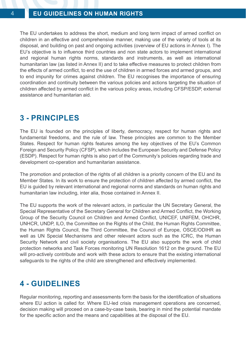The EU undertakes to address the short, medium and long term impact of armed conflict on children in an effective and comprehensive manner, making use of the variety of tools at its disposal, and building on past and ongoing activities (overview of EU actions in Annex I). The EU's objective is to influence third countries and non state actors to implement international and regional human rights norms, standards and instruments, as well as international humanitarian law (as listed in Annex II) and to take effective measures to protect children from the effects of armed conflict, to end the use of children in armed forces and armed groups, and to end impunity for crimes against children. The EU recognises the importance of ensuring coordination and continuity between the various policies and actions targeting the situation of children affected by armed conflict in the various policy areas, including CFSP/ESDP, external assistance and humanitarian aid.

## **3 - PRINCIPLES**

The EU is founded on the principles of liberty, democracy, respect for human rights and fundamental freedoms, and the rule of law. These principles are common to the Member States. Respect for human rights features among the key objectives of the EU's Common Foreign and Security Policy (CFSP), which includes the European Security and Defense Policy (ESDP). Respect for human rights is also part of the Community's policies regarding trade and development co-operation and humanitarian assistance.

The promotion and protection of the rights of all children is a priority concern of the EU and its Member States. In its work to ensure the protection of children affected by armed conflict, the EU is guided by relevant international and regional norms and standards on human rights and humanitarian law including, inter alia, those contained in Annex II.

The EU supports the work of the relevant actors, in particular the UN Secretary General, the Special Representative of the Secretary General for Children and Armed Conflict, the Working Group of the Security Council on Children and Armed Conflict, UNICEF, UNIFEM, OHCHR, UNHCR, UNDP, ILO, the Committee on the Rights of the Child, the Human Rights Committee, the Human Rights Council, the Third Committee, the Council of Europe, OSCE/ODIHR as well as UN Special Mechanisms and other relevant actors such as the ICRC, the Human Security Network and civil society organisations. The EU also supports the work of child protection networks and Task Forces monitoring UN Resolution 1612 on the ground. The EU will pro-actively contribute and work with these actors to ensure that the existing international safeguards to the rights of the child are strengthened and effectively implemented.

## **4 - GUIDELINES**

Regular monitoring, reporting and assessments form the basis for the identification of situations where EU action is called for. Where EU-led crisis management operations are concerned, decision making will proceed on a case-by-case basis, bearing in mind the potential mandate for the specific action and the means and capabilities at the disposal of the EU.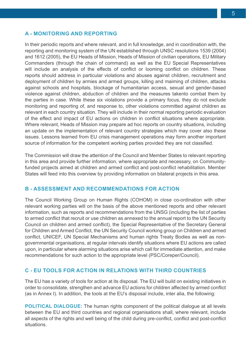#### **A - MONITORING AND REPORTING**

In their periodic reports and where relevant, and in full knowledge, and in coordination with, the reporting and monitoring system of the UN established through UNSC resolutions 1539 (2004) and 1612 (2005), the EU Heads of Mission, Heads of Mission of civilian operations, EU Military Commanders (through the chain of command) as well as the EU Special Representatives will include an analysis of the effects of conflict or looming conflict on children. These reports should address in particular violations and abuses against children, recruitment and deployment of children by armies and armed groups, killing and maiming of children, attacks against schools and hospitals, blockage of humanitarian access, sexual and gender-based violence against children, abduction of children and the measures takento combat them by the parties in case. While these six violations provide a primary focus, they do not exclude monitoring and reporting of, and response to, other violations committed against children as relevant in each country situation. They will include in their normal reporting periodic evaluation of the effect and impact of EU actions on children in conflict situations where appropriate. Where relevant, Heads of Mission may prepare ad hoc reports on country situations, including an update on the implementation of relevant country strategies which may cover also these issues. Lessons learned from EU crisis management operations may form another important source of information for the competent working parties provided they are not classified.

The Commission will draw the attention of the Council and Member States to relevant reporting in this area and provide further information, where appropriate and necessary, on Communityfunded projects aimed at children and armed conflict and post-conflict rehabilitation. Member States will feed into this overview by providing information on bilateral projects in this area.

#### **B - ASSESSMENT AND RECOMMENDATIONS FOR ACTION**

The Council Working Group on Human Rights (COHOM) in close co-ordination with other relevant working parties will on the basis of the above mentioned reports and other relevant information, such as reports and recommendations from the UNSG (including the list of parties to armed conflict that recruit or use children as annexed to the annual report to the UN Security Council on children and armed conflict), the Special Representative of the Secretary General for Children and Armed Conflict, the UN Security Council working group on Children and armed conflict, UNICEF, UN Special Mechanisms and human rights Treaty Bodies as well as nongovernmental organisations, at regular intervals identify situations where EU actions are called upon, in particular where alarming situations arise which call for immediate attention, and make recommendations for such action to the appropriate level (PSC/Coreper/Council).

#### **C - EU TOOLS FOR ACTION IN RELATIONS WITH THIRD COUNTRIES**

The EU has a variety of tools for action at its disposal. The EU will build on existing initiatives in order to consolidate, strengthen and advance EU actions for children affected by armed conflict (as in Annex I). In addition, the tools at the EU's disposal include, inter alia, the following:

**POLITICAL DIALOGUE:** The human rights component of the political dialogue at all levels between the EU and third countries and regional organisations shall, where relevant, include all aspects of the rights and well being of the child during pre-conflict, conflict and post-conflict situations.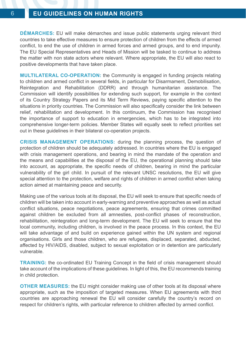**DÉMARCHES:** EU will make démarches and issue public statements urging relevant third countries to take effective measures to ensure protection of children from the effects of armed conflict, to end the use of children in armed forces and armed groups, and to end impunity. The EU Special Representatives and Heads of Mission will be tasked to continue to address the matter with non state actors where relevant. Where appropriate, the EU will also react to positive developments that have taken place.

**MULTILATERAL CO-OPERATION:** the Community is engaged in funding projects relating to children and armed conflict in several fields, in particular for Disarmament, Demobilisation, Reintegration and Rehabilitation (DDRR) and through humanitarian assistance. The Commission will identify possibilities for extending such support, for example in the context of its Country Strategy Papers and its Mid Term Reviews, paying specific attention to the situations in priority countries. The Commission will also specifically consider the link between relief, rehabilitation and development. In this continuum, the Commission has recognised the importance of support to education in emergencies, which has to be integrated into comprehensive longer-term policies. Member States will equally seek to reflect priorities set out in these guidelines in their bilateral co-operation projects.

**CRISIS MANAGEMENT OPERATIONS:** during the planning process, the question of protection of children should be adequately addressed. In countries where the EU is engaged with crisis management operations, and bearing in mind the mandate of the operation and the means and capabilities at the disposal of the EU, the operational planning should take into account, as appropriate, the specific needs of children, bearing in mind the particular vulnerability of the girl child. In pursuit of the relevant UNSC resolutions, the EU will give special attention to the protection, welfare and rights of children in armed conflict when taking action aimed at maintaining peace and security.

Making use of the various tools at its disposal, the EU will seek to ensure that specific needs of children will be taken into account in early-warning and preventive approaches as well as actual conflict situations, peace negotiations, peace agreements, ensuring that crimes committed against children be excluded from all amnesties, post-conflict phases of reconstruction, rehabilitation, reintegration and long-term development. The EU will seek to ensure that the local community, including children, is involved in the peace process. In this context, the EU will take advantage of and build on experience gained within the UN system and regional organisations. Girls and those children, who are refugees, displaced, separated, abducted, affected by HIV/AIDS, disabled, subject to sexual exploitation or in detention are particularly vulnerable.

**TRAINING:** the co-ordinated EU Training Concept in the field of crisis management should take account of the implications of these guidelines. In light of this, the EU recommends training in child protection.

**OTHER MEASURES:** the EU might consider making use of other tools at its disposal where appropriate, such as the imposition of targeted measures. When EU agreements with third countries are approaching renewal the EU will consider carefully the country's record on respect for children's rights, with particular reference to children affected by armed conflict.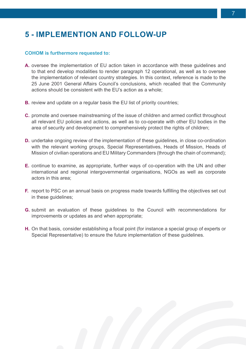## **5 - IMPLEMENTION AND FOLLOW-UP**

#### **COHOM is furthermore requested to:**

- **A.** oversee the implementation of EU action taken in accordance with these guidelines and to that end develop modalities to render paragraph 12 operational, as well as to oversee the implementation of relevant country strategies. In this context, reference is made to the 25 June 2001 General Affairs Council's conclusions, which recalled that the Community actions should be consistent with the EU's action as a whole;
- **B.** review and update on a regular basis the EU list of priority countries;
- **C.** promote and oversee mainstreaming of the issue of children and armed conflict throughout all relevant EU policies and actions, as well as to co-operate with other EU bodies in the area of security and development to comprehensively protect the rights of children;
- **D.** undertake ongoing review of the implementation of these guidelines, in close co-ordination with the relevant working groups, Special Representatives, Heads of Mission, Heads of Mission of civilian operations and EU Military Commanders (through the chain of command);
- **E.** continue to examine, as appropriate, further ways of co-operation with the UN and other international and regional intergovernmental organisations, NGOs as well as corporate actors in this area;
- **F.** report to PSC on an annual basis on progress made towards fulfilling the objectives set out in these guidelines;
- **G.** submit an evaluation of these guidelines to the Council with recommendations for improvements or updates as and when appropriate;
- **H.** On that basis, consider establishing a focal point (for instance a special group of experts or Special Representative) to ensure the future implementation of these guidelines.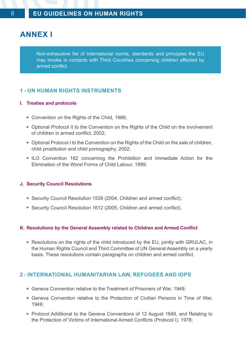## **ANNEX I**

Non-exhaustive list of international norms, standards and principles the EU may invoke in contacts with Third Countries concerning children affected by armed conflict

#### **1 - UN HUMAN RIGHTS INSTRUMENTS**

#### **I. Treaties and protocols**

- Convention on the Rights of the Child, 1989;
- Optional Protocol II to the Convention on the Rights of the Child on the involvement of children in armed conflict, 2002;
- Optional Protocol I to the Convention on the Rights of the Child on the sale of children, child prostitution and child pornography, 2002;
- ILO Convention 182 concerning the Prohibition and Immediate Action for the Elimination of the Worst Forms of Child Labour, 1999;

#### **J. Security Council Resolutions**

- Security Council Resolution 1539 (2004, Children and armed conflict);
- Security Council Resolution 1612 (2005, Children and armed conflict).

#### **K. Resolutions by the General Assembly related to Children and Armed Conflict**

• Resolutions on the rights of the child introduced by the EU, jointly with GRULAC, in the Human Rights Council and Third Committee of UN General Assembly on a yearly basis. These resolutions contain paragraphs on children and armed conflict.

#### **2 - INTERNATIONAL HUMANITARIAN LAW, REFUGEES AND IDPS**

- Geneva Convention relative to the Treatment of Prisoners of War, 1949;
- Geneva Convention relative to the Protection of Civilian Persons in Time of War, 1949;
- Protocol Additional to the Geneva Conventions of 12 August 1949, and Relating to the Protection of Victims of International Armed Conflicts (Protocol I), 1978;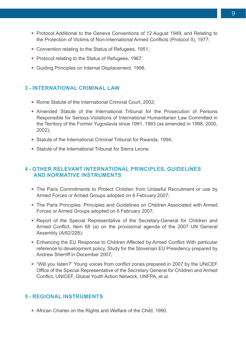- Protocol Additional to the Geneva Conventions of 12 August 1949, and Relating to the Protection of Victims of Non-International Armed Conflicts (Protocol II), 1977;
- Convention relating to the Status of Refugees, 1951;
- Protocol relating to the Status of Refugees, 1967;
- Guiding Principles on Internal Displacement, 1998.

#### **3 - INTERNATIONAL CRIMINAL LAW**

- Rome Statute of the International Criminal Court, 2002;
- Amended Statute of the International Tribunal for the Prosecution of Persons Responsible for Serious Violations of International Humanitarian Law Committed in the Territory of the Former Yugoslavia since 1991, 1993 (as amended in 1998, 2000, 2002);
- Statute of the International Criminal Tribunal for Rwanda, 1994;
- Statute of the International Tribunal for Sierra Leone.

#### **4 - OTHER RELEVANT INTERNATIONAL PRINCIPLES, GUIDELINES AND NORMATIVE INSTRUMENTS**

- The Paris Commitments to Protect Children from Unlawful Recruitment or use by Armed Forces or Armed Groups adopted on 6 February 2007;
- The Paris Principles: Principles and Guidelines on Children Associated with Armed Forces or Armed Groups adopted on 6 February 2007;
- Report of the Special Representative of the Secretary-General for Children and Armed Conflict, Item 68 (a) on the provisional agenda of the 2007 UN General Assembly (A/62/228);
- Enhancing the EU Response to Children Affected by Armed Conflict With particular reference to development policy, Study for the Slovenian EU Presidency prepared by Andrew Sherriff in December 2007;
- "Will you listen?" Young voices from conflict zones prepared in 2007 by the UNICEF Office of the Special Representative of the Secretary General for Children and Armed Conflict, UNICEF, Global Youth Action Network, UNFPA, et al.

#### **5 - REGIONAL INSTRUMENTS**

• African Charter on the Rights and Welfare of the Child, 1990.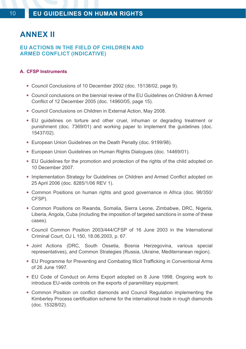## **ANNEX II**

### **EU ACTIONS IN THE FIELD OF CHILDREN AND ARMED CONFLICT (INDICATIVE)**

#### **A. CFSP Instruments**

- Council Conclusions of 10 December 2002 (doc. 15138/02, page 9).
- <sup>a</sup> Council conclusions on the biennial review of the EU Guidelines on Children & Armed Conflict of 12 December 2005 (doc. 14960/05, page 15).
- Council Conclusions on Children in External Action, May 2008.
- EU quidelines on torture and other cruel, inhuman or degrading treatment or punishment (doc. 7369/01) and working paper to implement the guidelines (doc. 15437/02).
- European Union Guidelines on the Death Penalty (doc. 9199/98).
- European Union Guidelines on Human Rights Dialogues (doc. 14469/01).
- EU Guidelines for the promotion and protection of the rights of the child adopted on 10 December 2007.
- Implementation Strategy for Guidelines on Children and Armed Conflict adopted on 25 April 2006 (doc. 8285/1/06 REV 1).
- Common Positions on human rights and good governance in Africa (doc. 98/350/ CFSP).
- Common Positions on Rwanda, Somalia, Sierra Leone, Zimbabwe, DRC, Nigeria, Liberia, Angola, Cuba (including the imposition of targeted sanctions in some of these cases).
- Council Common Position 2003/444/CFSP of 16 June 2003 in the International Criminal Court, OJ L 150, 18.06.2003, p. 67.
- Joint Actions (DRC, South Ossetia, Bosnia Herzegovina, various special representatives), and Common Strategies (Russia, Ukraine, Mediterranean region).
- EU Programme for Preventing and Combating Illicit Trafficking in Conventional Arms of 26 June 1997.
- EU Code of Conduct on Arms Export adopted on 8 June 1998. Ongoing work to introduce EU-wide controls on the exports of paramilitary equipment.
- Common Position on conflict diamonds and Council Regulation implementing the Kimberley Process certification scheme for the international trade in rough diamonds (doc. 15328/02).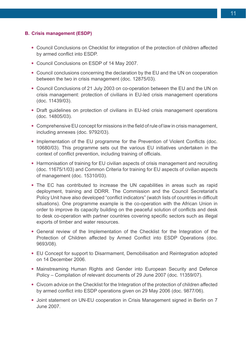#### **B. Crisis management (ESDP)**

- Council Conclusions on Checklist for integration of the protection of children affected by armed conflict into ESDP.
- Council Conclusions on ESDP of 14 May 2007.
- Council conclusions concerning the declaration by the EU and the UN on cooperation between the two in crisis management (doc. 12875/03).
- Council Conclusions of 21 July 2003 on co-operation between the EU and the UN on crisis management: protection of civilians in EU-led crisis management operations (doc. 11439/03).
- Draft quidelines on protection of civilians in EU-led crisis management operations (doc. 14805/03).
- Comprehensive EU concept for missions in the field of rule of law in crisis management. including annexes (doc. 9792/03).
- Implementation of the EU programme for the Prevention of Violent Conflicts (doc. 10680/03). This programme sets out the various EU initiatives undertaken in the context of conflict prevention, including training of officials.
- Harmonisation of training for EU civilian aspects of crisis management and recruiting (doc. 11675/1/03) and Common Criteria for training for EU aspects of civilian aspects of management (doc. 15310/03).
- The EC has contributed to increase the UN capabilities in areas such as rapid deployment, training and DDRR. The Commission and the Council Secretariat's Policy Unit have also developed "conflict indicators" (watch lists of countries in difficult situations). One programme example is the co-operation with the African Union in order to improve its capacity building on the peaceful solution of conflicts and desk to desk co-operation with partner countries covering specific sectors such as illegal exports of timber and water resources.
- General review of the Implementation of the Checklist for the Integration of the Protection of Children affected by Armed Conflict into ESDP Operations (doc. 9693/08).
- EU Concept for support to Disarmament, Demobilisation and Reintegration adopted on 14 December 2006.
- Mainstreaming Human Rights and Gender into European Security and Defence Policy – Compilation of relevant documents of 29 June 2007 (doc. 11359/07).
- Civcom advice on the Checklist for the Integration of the protection of children affected by armed conflict into ESDP operations given on 29 May 2006 (doc. 9877/06).
- Joint statement on UN-EU cooperation in Crisis Management signed in Berlin on 7 June 2007.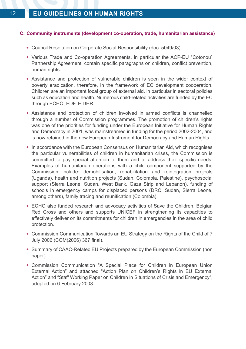#### **C. Community instruments (development co-operation, trade, humanitarian assistance)**

- Council Resolution on Corporate Social Responsibility (doc. 5049/03).
- Various Trade and Co-operation Agreements, in particular the ACP-EU "Cotonou" Partnership Agreement, contain specific paragraphs on children, conflict prevention, human rights.
- Assistance and protection of vulnerable children is seen in the wider context of poverty eradication, therefore, in the framework of EC development cooperation. Children are an important focal group of external aid, in particular in sectoral policies such as education and health. Numerous child-related activities are funded by the EC through ECHO, EDF, EIDHR.
- Assistance and protection of children involved in armed conflicts is channelled through a number of Commission programmes. The promotion of children's rights was one of the priorities for funding under the European Initiative for Human Rights and Democracy in 2001, was mainstreamed in funding for the period 2002-2004, and is now retained in the new European Instrument for Democracy and Human Rights.
- In accordance with the European Consensus on Humanitarian Aid, which recognises the particular vulnerabilities of children in humanitarian crises, the Commission is committed to pay special attention to them and to address their specific needs. Examples of humanitarian operations with a child component supported by the Commission include: demobilisation, rehabilitation and reintegration projects (Uganda), health and nutrition projects (Sudan, Colombia, Palestine), psychosocial support (Sierra Leone, Sudan, West Bank, Gaza Strip and Lebanon), funding of schools in emergency camps for displaced persons (DRC, Sudan, Sierra Leone, among others), family tracing and reunification (Colombia).
- ECHO also funded research and advocacy activities of Save the Children, Belgian Red Cross and others and supports UNICEF in strengthening its capacities to effectively deliver on its commitments for children in emergencies in the area of child protection.
- Commission Communication Towards an EU Strategy on the Rights of the Child of 7 July 2006 (COM(2006) 367 final).
- Summary of CAAC-Related EU Projects prepared by the European Commission (non paper).
- Commission Communication "A Special Place for Children in European Union External Action" and attached "Action Plan on Children's Rights in EU External Action" and "Staff Working Paper on Children in Situations of Crisis and Emergency", adopted on 6 February 2008.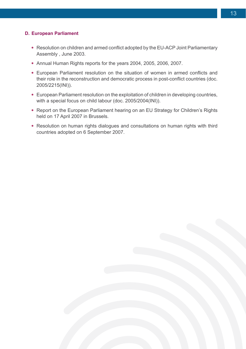#### **D. European Parliament**

- Resolution on children and armed conflict adopted by the EU-ACP Joint Parliamentary Assembly , June 2003.
- Annual Human Rights reports for the years 2004, 2005, 2006, 2007.
- European Parliament resolution on the situation of women in armed conflicts and their role in the reconstruction and democratic process in post-conflict countries (doc. 2005/2215(INI)).
- European Parliament resolution on the exploitation of children in developing countries, with a special focus on child labour (doc. 2005/2004(INI)).
- Report on the European Parliament hearing on an EU Strategy for Children's Rights held on 17 April 2007 in Brussels.
- Resolution on human rights dialogues and consultations on human rights with third countries adopted on 6 September 2007.